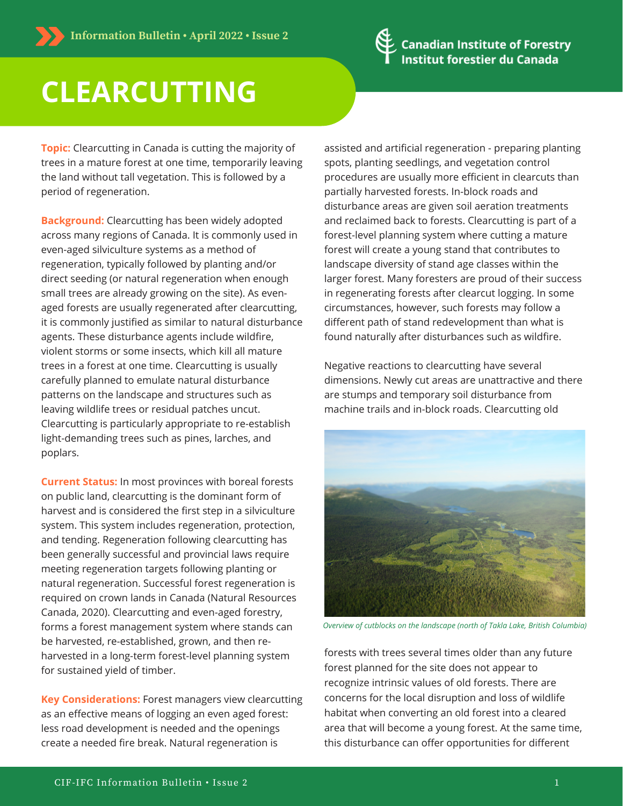

## **CLEARCUTTING**

**Topic:** Clearcutting in Canada is cutting the majority of trees in a mature forest at one time, temporarily leaving the land without tall vegetation. This is followed by a period of regeneration.

**Background:** Clearcutting has been widely adopted across many regions of Canada. It is commonly used in even-aged silviculture systems as a method of regeneration, typically followed by planting and/or direct seeding (or natural regeneration when enough small trees are already growing on the site). As evenaged forests are usually regenerated after clearcutting, it is commonly justified as similar to natural disturbance agents. These disturbance agents include wildfire, violent storms or some insects, which kill all mature trees in a forest at one time. Clearcutting is usually carefully planned to emulate natural disturbance patterns on the landscape and structures such as leaving wildlife trees or residual patches uncut. Clearcutting is particularly appropriate to re-establish light-demanding trees such as pines, larches, and poplars.

**Current Status:** In most provinces with boreal forests on public land, clearcutting is the dominant form of harvest and is considered the first step in a silviculture system. This system includes regeneration, protection, and tending. Regeneration following clearcutting has been generally successful and provincial laws require meeting regeneration targets following planting or natural regeneration. Successful forest regeneration is required on crown lands in Canada (Natural Resources Canada, 2020). Clearcutting and even-aged forestry, forms a forest management system where stands can be harvested, re-established, grown, and then reharvested in a long-term forest-level planning system for sustained yield of timber.

**Key Considerations:** Forest managers view clearcutting as an effective means of logging an even aged forest: less road development is needed and the openings create a needed fire break. Natural regeneration is

assisted and artificial regeneration - preparing planting spots, planting seedlings, and vegetation control procedures are usually more efficient in clearcuts than partially harvested forests. In-block roads and disturbance areas are given soil aeration treatments and reclaimed back to forests. Clearcutting is part of a forest-level planning system where cutting a mature forest will create a young stand that contributes to landscape diversity of stand age classes within the larger forest. Many foresters are proud of their success in regenerating forests after clearcut logging. In some circumstances, however, such forests may follow a different path of stand redevelopment than what is found naturally after disturbances such as wildfire.

Negative reactions to clearcutting have several dimensions. Newly cut areas are unattractive and there are stumps and temporary soil disturbance from machine trails and in-block roads. Clearcutting old



*Overview of cutblocks on the landscape (north of Takla Lake, British Columbia)*

forests with trees several times older than any future forest planned for the site does not appear to recognize intrinsic values of old forests. There are concerns for the local disruption and loss of wildlife habitat when converting an old forest into a cleared area that will become a young forest. At the same time, this disturbance can offer opportunities for different